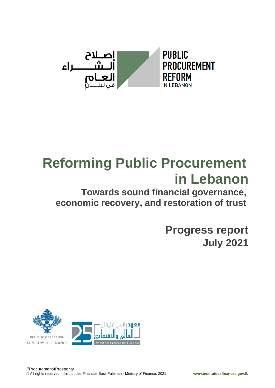

# **Reforming Public Procurement in Lebanon**

## **Towards sound financial governance, economic recovery, and restoration of trust**

**Progress report July 2021**

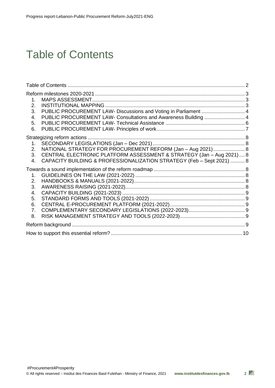## <span id="page-1-0"></span>Table of Contents

| $1_{-}$<br>2.<br>PUBLIC PROCUREMENT LAW- Discussions and Voting in Parliament  4<br>3.<br>PUBLIC PROCUREMENT LAW- Consultations and Awareness Building  4<br>4.<br>5.<br>6.                                                    |  |
|--------------------------------------------------------------------------------------------------------------------------------------------------------------------------------------------------------------------------------|--|
| NATIONAL STRATEGY FOR PROCUREMENT REFORM (Jan - Aug 2021) 8<br>2.<br>CENTRAL ELECTRONIC PLATFORM ASSESSMENT & STRATEGY (Jan - Aug 2021) 8<br>3.<br>CAPACITY BUILDING & PROFESSIONALIZATION STRATEGY (Feb - Sept 2021)  8<br>4. |  |
| 1.<br>2.<br>3.<br>4.<br>5.<br>6.<br>7.<br>8.                                                                                                                                                                                   |  |
|                                                                                                                                                                                                                                |  |
|                                                                                                                                                                                                                                |  |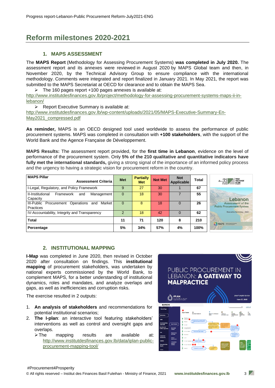## <span id="page-2-0"></span>**Reform milestones 2020-2021**

#### **1. MAPS ASSESSMENT**

<span id="page-2-1"></span>The **MAPS Report** (Methodology for Assessing Procurement Systems) **was completed in July 2020.** The assessment report and its annexes were reviewed in August 2020 by MAPS Global team and then, in November 2020, by the Technical Advisory Group to ensure compliance with the international methodology. Comments were integrated and report finalized in January 2021. In May 2021, the report was submitted to the MAPS Secretariat at OECD for clearance and to obtain the MAPS Sea.

 $\triangleright$  The 160 pages report +100 pages annexes is available at:

http://www.institutdesfinances.gov.lb/project/methodology-for-assessing-procurement-systems-maps-ii-inlebanon/

➢ Report Executive Summary is available at:

[http://www.institutdesfinances.gov.lb/wp-content/uploads/2021/05/MAPS-Executive-Summary-En-](http://www.institutdesfinances.gov.lb/wp-content/uploads/2021/05/MAPS-Executive-Summary-En-May2021_compressed.pdf)[May2021\\_compressed.pdf](http://www.institutdesfinances.gov.lb/wp-content/uploads/2021/05/MAPS-Executive-Summary-En-May2021_compressed.pdf)

**As reminder,** MAPS is an OECD designed tool used worldwide to assess the performance of public procurement systems. MAPS was completed in consultation with **+100 stakeholders**, with the support of the World Bank and the Agence Française de Développement.

**MAPS Results:** The assessment report provided, for the **first time in Lebanon**, evidence on the level of performance of the procurement system. Only **5% of the 210 qualitative and quantitative indicators have fully met the international standards,** giving a strong signal of the importance of an informed policy process and the urgency to having a strategic vision for procurement reform in the country.

| <b>MAPS Pillar</b><br><b>Assessment Criteria</b>                   | <b>Met</b> | <b>Partially</b><br><b>Met</b> | <b>Not Met</b> | <b>Not</b><br><b>Applicable</b> | Total | PUBLIC<br>اصلاح<br>الـــشــــــــراء<br>PROCUREMENT<br><b>REFORM</b><br>العام |
|--------------------------------------------------------------------|------------|--------------------------------|----------------|---------------------------------|-------|-------------------------------------------------------------------------------|
| I-Legal, Regulatory, and Policy Framework                          | 9          | 27                             | 30             |                                 | 67    |                                                                               |
| II-Institutional<br>Framework<br>Management  <br>and<br>Capacity   | 0          | 18                             | 30             |                                 | 55    | Lebanon                                                                       |
| III-Public Procurement<br>Operations<br>Market<br>and<br>Practices | 0          | 8                              | 18             | $\Omega$                        | 26    | Assessment of the<br><b>Public Procurement System</b>                         |
| IV-Accountability, Integrity and Transparency                      | 2          | 18                             | 42             | $\Omega$                        | 62    | <b>Executive Summary - 2021</b>                                               |
| <b>Total</b>                                                       | 11         | 71                             | 120            | 8                               | 210   | MAPS   National Rest Assembly                                                 |
| Percentage                                                         | 5%         | 34%                            | 57%            | 4%                              | 100%  |                                                                               |

#### **2. INSTITUTIONAL MAPPING**

<span id="page-2-2"></span>**I-Map** was completed in June 2020, then revised in October 2020 after consultation on findings. This **institutional mapping** of procurement stakeholders, was undertaken by national experts commissioned by the World Bank, to complement MAPS, for a better understanding of institutional dynamics, roles and mandates, and analyze overlaps and gaps, as well as inefficiencies and corruption risks.

The exercise resulted in 2 outputs:

- 1. **An analysis of stakeholders** and recommendations for potential institutional scenarios;
- 2. **The I-plan**: an interactive tool featuring stakeholders' interventions as well as control and oversight gaps and overlaps.
	- ➢The mapping results are available at: [http://www.institutdesfinances.gov.lb/data/iplan-public](http://www.institutdesfinances.gov.lb/data/iplan-public-procurement-mapping-tool/)[procurement-mapping-tool/](http://www.institutdesfinances.gov.lb/data/iplan-public-procurement-mapping-tool/)

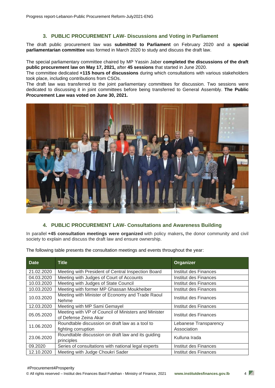#### **3. PUBLIC PROCUREMENT LAW- Discussions and Voting in Parliament**

<span id="page-3-0"></span>The draft public procurement law was **submitted to Parliament** on February 2020 and a **special parliamentarian committee** was formed in March 2020 to study and discuss the draft law.

The special parliamentary committee chaired by MP Yassin Jaber **completed the discussions of the draft public procurement law on May 17, 2021,** after **45 sessions** that started in June 2020.

The committee dedicated **+115 hours of discussions** during which consultations with various stakeholders took place, including contributions from CSOs.

The draft law was transferred to the joint parliamentary committees for discussion. Two sessions were dedicated to discussing it in joint committees before being transferred to General Assembly. **The Public Procurement Law was voted on June 30, 2021.** 



#### **4. PUBLIC PROCUREMENT LAW- Consultations and Awareness Building**

<span id="page-3-1"></span>In parallel **+45 consultation meetings were organized** with policy makers**,** the donor community and civil society to explain and discuss the draft law and ensure ownership.

| <b>Date</b> | <b>Title</b>                                                                  | Organizer                            |  |
|-------------|-------------------------------------------------------------------------------|--------------------------------------|--|
| 21.02.2020  | Meeting with President of Central Inspection Board                            | Institut des Finances                |  |
| 04.03.2020  | Meeting with Judges of Court of Accounts                                      | Institut des Finances                |  |
| 10.03.2020  | Meeting with Judges of State Council                                          | Institut des Finances                |  |
| 10.03.2020  | Meeting with former MP Ghassan Moukheiber                                     | Institut des Finances                |  |
| 10.03.2020  | Meeting with Minister of Economy and Trade Raoul<br>Nehme                     | Institut des Finances                |  |
| 12.03.2020  | Meeting with MP Sami Gemayel                                                  | Institut des Finances                |  |
| 05.05.2020  | Meeting with VP of Council of Ministers and Minister<br>of Defense Zeina Akar | Institut des Finances                |  |
| 11.06.2020  | Roundtable discussion on draft law as a tool to<br>fighting corruption        | Lebanese Transparency<br>Association |  |
| 23.06.2020  | Roundtable discussion on draft law and its guiding<br>principles              | Kulluna Irada                        |  |
| 09.2020     | Series of consultations with national legal experts                           | Institut des Finances                |  |
| 12.10.2020  | Meeting with Judge Choukri Sader                                              | Institut des Finances                |  |

The following table presents the consultation meetings and events throughout the year: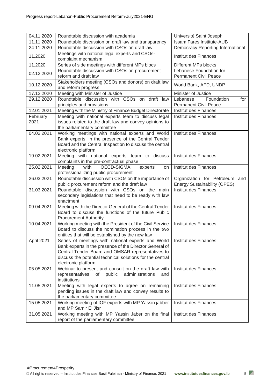| 04.11.2020       | Roundtable discussion with academia                                                                                                                                                                                                                    | Université Saint Joseph                                               |  |
|------------------|--------------------------------------------------------------------------------------------------------------------------------------------------------------------------------------------------------------------------------------------------------|-----------------------------------------------------------------------|--|
| 11.11.2020       | Roundtable discussion on draft law and transparency                                                                                                                                                                                                    | <b>Issam Fares Institute-AUB</b>                                      |  |
| 24.11.2020       | Roundtable discussion with CSOs on draft law                                                                                                                                                                                                           | Democracy Reporting International                                     |  |
| 11.2020          | Meetings with national legal experts and CSOs-<br>complaint mechanism                                                                                                                                                                                  | Institut des Finances                                                 |  |
| 11.2020          | Series of side meetings with different MPs blocs                                                                                                                                                                                                       | Different MPs blocks                                                  |  |
| 02.12.2020       | Roundtable discussion with CSOs on procurement<br>reform and draft law                                                                                                                                                                                 | Lebanese Foundation for<br><b>Permanent Civil Peace</b>               |  |
| 10.12.2020       | Stakeholders meeting (CSOs and donors) on draft law<br>and reform progress                                                                                                                                                                             | World Bank, AFD, UNDP                                                 |  |
| 17.12.2020       | Meeting with Minister of Justice                                                                                                                                                                                                                       | Minister of Justice                                                   |  |
| 29.12.2020       | Roundtable discussion with CSOs on draft law                                                                                                                                                                                                           | Foundation<br>Lebanese<br>for                                         |  |
|                  | principles and provisions                                                                                                                                                                                                                              | <b>Permanent Civil Peace</b>                                          |  |
| 12.01.2021       | Meeting with the Ministry of Finance Budget Directorate                                                                                                                                                                                                | Institut des Finances                                                 |  |
| February<br>2021 | Meeting with national experts team to discuss legal<br>issues related to the draft law and convey opinions to<br>the parliamentary committee                                                                                                           | Institut des Finances                                                 |  |
| 04.02.2021       | Working meetings with national experts and World<br>Bank experts, in the presence of the Central Tender<br>Board and the Central Inspection to discuss the central<br>electronic platform                                                              | Institut des Finances                                                 |  |
| 19.02.2021       | Meeting with national experts team to discuss<br>complaints in the pre-contractual phase                                                                                                                                                               | Institut des Finances                                                 |  |
| 25.02.2021       | OECD-SIGMA<br>Meeting<br>with<br>experts<br>on<br>professionalizing public procurement                                                                                                                                                                 | Institut des Finances                                                 |  |
| 26.03.2021       | Roundtable discussion with CSOs on the importance of<br>public procurement reform and the draft law                                                                                                                                                    | Organization for Petroleum and<br><b>Energy Sustainability (OPES)</b> |  |
| 31.03.2021       | Roundtable discussion with CSOs on the main<br>secondary legislations that need to be ready with law<br>enactment                                                                                                                                      | Institut des Finances                                                 |  |
| 09.04.2021       | Meeting with the Director General of the Central Tender<br>Board to discuss the functions of the future Public<br><b>Procurement Authority</b>                                                                                                         | Institut des Finances                                                 |  |
| 10.04.2021       | Working meeting with the President of the Civil Service<br>Board to discuss the nomination process in the two<br>entities that will be established by the new law                                                                                      | Institut des Finances                                                 |  |
| April 2021       | Series of meetings with national experts and World<br>Bank experts in the presence of the Director General of<br>Central Tender Board and OMSAR representatives to<br>discuss the potential technical solutions for the central<br>electronic platform | Institut des Finances                                                 |  |
| 05.05.2021       | Webinar to present and consult on the draft law with<br>representatives<br>of<br>public<br>administrations<br>and<br>institutions                                                                                                                      | Institut des Finances                                                 |  |
| 11.05.2021       | Meeting with legal experts to agree on remaining<br>pending issues in the draft law and convey results to<br>the parliamentary committee                                                                                                               | Institut des Finances                                                 |  |
| 15.05.2021       | Working meeting of IOF experts with MP Yassin jabber<br>and MP Samir El Jisr                                                                                                                                                                           | Institut des Finances                                                 |  |
| 31.05.2021       | Working meeting with MP Yassin Jaber on the final<br>report of the parliamentary committee                                                                                                                                                             | Institut des Finances                                                 |  |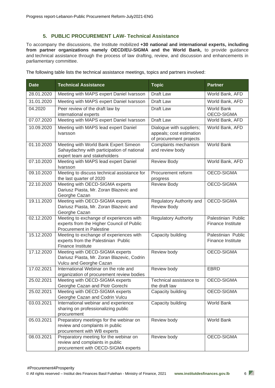#### **5. PUBLIC PROCUREMENT LAW- Technical Assistance**

<span id="page-5-0"></span>To accompany the discussions, the Institute mobilized **+30 national and international experts, including from partner organizations namely OECD/EU-SIGMA and the World Bank,** to provide guidance and technical assistance through the process of law drafting, review, and discussion and enhancements in parliamentary committee.

The following table lists the technical assistance meetings, topics and partners involved:

| <b>Date</b> | <b>Technical Assistance</b>                                                                                             | <b>Topic</b>                                                                    | <b>Partner</b>                          |
|-------------|-------------------------------------------------------------------------------------------------------------------------|---------------------------------------------------------------------------------|-----------------------------------------|
| 28.01.2020  | Meeting with MAPS expert Daniel Ivarsson                                                                                | Draft Law                                                                       | World Bank, AFD                         |
| 31.01.2020  | Meeting with MAPS expert Daniel Ivarsson                                                                                | Draft Law                                                                       | World Bank, AFD                         |
| 04.2020     | Peer review of the draft law by<br>international experts                                                                | Draft Law                                                                       | <b>World Bank</b><br>OECD-SIGMA         |
| 07.07.2020  | Meeting with MAPS expert Daniel Ivarsson                                                                                | Draft Law                                                                       | World Bank, AFD                         |
| 10.09.2020  | Meeting with MAPS lead expert Daniel<br><b>Ivarsson</b>                                                                 | Dialogue with suppliers;<br>appeals; cost estimation<br>of procurement projects | World Bank, AFD                         |
| 01.10.2020  | Meeting with World Bank Expert Simeon<br>Sahaydachny with participation of national<br>expert team and stakeholders     | Complaints mechanism<br>and review body                                         | World Bank                              |
| 07.10.2020  | Meeting with MAPS lead expert Daniel<br>Ivarsson                                                                        | <b>Review Body</b>                                                              | World Bank, AFD                         |
| 09.10.2020  | Meeting to discuss technical assistance for<br>the last quarter of 2020                                                 | Procurement reform<br>progress                                                  | OECD-SIGMA                              |
| 22.10.2020  | Meeting with OECD-SIGMA experts<br>Dariusz Piasta, Mr. Zoran Blazevic and<br>Georghe Cazan                              | <b>Review Body</b>                                                              | OECD-SIGMA                              |
| 19.11.2020  | Meeting with OECD-SIGMA experts<br>Dariusz Piasta, Mr. Zoran Blazevic and<br>Georghe Cazan                              | Regulatory Authority and<br><b>Review Body</b>                                  | OECD-SIGMA                              |
| 02.12.2020  | Meeting to exchange of experiences with<br>experts from the Higher Council of Public<br><b>Procurement in Palestine</b> | <b>Regulatory Authority</b>                                                     | Palestinian Public<br>Finance Institute |
| 15.12.2020  | Meeting to exchange of experiences with<br>experts from the Palestinian Public<br>Finance Institute                     | Capacity building                                                               | Palestinian Public<br>Finance Institute |
| 17.12.2020  | Meeting with OECD-SIGMA experts<br>Dariusz Piasta, Mr. Zoran Blazevic, Codrin<br>Vulcu and Georghe Cazan                | Review body                                                                     | OECD-SIGMA                              |
| 17.02.2021  | International Webinar on the role and<br>organization of procurement review bodies                                      | Review body                                                                     | <b>EBRD</b>                             |
| 25.02.2021  | Meeting with OECD-SIGMA experts<br>Georghe Cazan and Piotr Gorechi                                                      | Technical assistance to<br>the draft law                                        | OECD-SIGMA                              |
| 25.02.2021  | Meeting with OECD-SIGMA experts<br>Georghe Cazan and Codrin Vulcu                                                       | Capacity building                                                               | OECD-SIGMA                              |
| 03.03.2021  | International webinar and experience<br>sharing on professionalizing public<br>procurement                              | Capacity building                                                               | World Bank                              |
| 05.03.2021  | Preparatory meetings for the webinar on<br>review and complaints in public<br>procurement with WB experts               | Review body                                                                     | World Bank                              |
| 08.03.2021  | Preparatory meeting for the webinar on<br>review and complaints in public<br>procurement with OECD-SIGMA experts        | Review body                                                                     | OECD-SIGMA                              |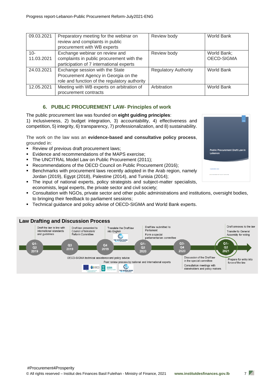| 09.03.2021 | Preparatory meeting for the webinar on        | Review body                 | World Bank  |
|------------|-----------------------------------------------|-----------------------------|-------------|
|            | review and complaints in public               |                             |             |
|            | procurement with WB experts                   |                             |             |
| $10-$      | Exchange webinar on review and                | Review body                 | World Bank; |
| 11.03.2021 | complaints in public procurement with the     |                             | OECD-SIGMA  |
|            | participation of 7 international experts      |                             |             |
| 24.03.2021 | Exchange session with the State               | <b>Regulatory Authority</b> | World Bank  |
|            | Procurement Agency in Georgia on the          |                             |             |
|            | role and function of the regulatory authority |                             |             |
| 12.05.2021 | Meeting with WB experts on arbitration of     | Arbitration                 | World Bank  |
|            | procurement contracts                         |                             |             |

#### **6. PUBLIC PROCUREMENT LAW- Principles of work**

<span id="page-6-0"></span>The public procurement law was founded on **eight guiding principles**: 1) inclusiveness, 2) budget integration, 3) accountability, 4) effectiveness and competition, 5) integrity, 6) transparency, 7) professionalization, and 8) sustainability.

The work on the law was an **evidence-based and consultative policy process**, grounded in:

- Review of previous draft procurement laws;
- Evidence and recommendations of the MAPS exercise;
- The UNCITRAL Model Law on Public Procurement (2011);
- Recommendations of the OECD Council on Public Procurement (2016);
- **EXECT** Benchmarks with procurement laws recently adopted in the Arab region, namely Jordan (2019), Egypt (2018), Palestine (2014), and Tunisia (2014);
- The input of national experts, policy strategists and subject-matter specialists, economists, legal experts, the private sector and civil society;
- Consultation with NGOs, private sector and other public administrations and institutions, oversight bodies, to bringing their feedback to parliament sessions;
- **Technical quidance and policy advise of OECD-SIGMA and World Bank experts.**





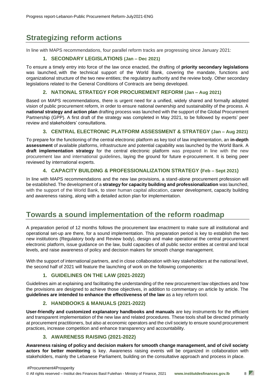## <span id="page-7-0"></span>**Strategizing reform actions**

<span id="page-7-1"></span>In line with MAPS recommendations, four parallel reform tracks are progressing since January 2021:

#### **1. SECONDARY LEGISLATIONS (Jan – Dec 2021)**

To ensure a timely entry into force of the law once enacted, the drafting of **priority secondary legislations** was launched, with the technical support of the World Bank, covering the mandate, functions and organizational structure of the two new entities; the regulatory authority and the review body. Other secondary legislations related to the General Conditions of Contracts are being developed.

#### **2. NATIONAL STRATEGY FOR PROCUREMENT REFORM (Jan – Aug 2021)**

<span id="page-7-2"></span>Based on MAPS recommendations, there is urgent need for a unified, widely shared and formally adopted vision of public procurement reform, in order to ensure national ownership and sustainability of the process. A **national strategy and action plan** drafting process was launched with the support of the Global Procurement Partnership (GPP). A first draft of the strategy was completed in May 2021, to be followed by experts' peer review and stakeholders' consultations.

#### **3. CENTRAL ELECTRONIC PLATFORM ASSESSMENT & STRATEGY (Jan – Aug 2021)**

<span id="page-7-3"></span>To prepare for the functioning of the central electronic platform as key tool of law implementation, an **in-depth assessment** of available platforms, infrastructure and potential capability was launched by the World Bank. A **draft implementation strategy** for the central electronic platform was prepared in line with the new procurement law and international guidelines, laying the ground for future e-procurement. It is being peer reviewed by international experts.

#### **4. CAPACITY BUILDING & PROFESSIONALIZATION STRATEGY (Feb – Sept 2021)**

<span id="page-7-4"></span>In line with MAPS recommendations and the new law provisions, a stand-alone procurement profession will be established. The development of a **strategy for capacity building and professionalization** was launched, with the support of the World Bank, to steer human capital allocation, career development, capacity building and awareness raising, along with a detailed action plan for implementation.

## <span id="page-7-5"></span>**Towards a sound implementation of the reform roadmap**

A preparation period of 12 months follows the procurement law enactment to make sure all institutional and operational set-up are there, for a sound implementation. This preparation period is key to establish the two new institutions (Regulatory body and Review body), design and make operational the central procurement electronic platform, issue guidance on the law, build capacities of all public sector entities at central and local levels, and raise awareness of policy and decision makers for smooth change management.

<span id="page-7-6"></span>With the support of international partners, and in close collaboration with key stakeholders at the national level, the second half of 2021 will feature the launching of work on the following components:

#### **1. GUIDELINES ON THE LAW (2021-2022)**

Guidelines aim at explaining and facilitating the understanding of the new procurement law objectives and how the provisions are designed to achieve those objectives, in addition to commentary on article by article. The **guidelines are intended to enhance the effectiveness of the law** as a key reform tool.

#### **2. HANDBOOKS & MANUALS (2021-2022)**

<span id="page-7-7"></span>**User-friendly and customized explanatory handbooks and manuals** are key instruments for the efficient and transparent implementation of the new law and related procedures. These tools shall be directed primarily at procurement practitioners, but also at economic operators and the civil society to ensure sound procurement practices, increase competition and enhance transparency and accountability.

#### **3. AWARENESS RAISING (2021-2022)**

<span id="page-7-8"></span>**Awareness raising of policy and decision makers for smooth change management, and of civil society actors for better monitoring** is key. Awareness raising events will be organized in collaboration with stakeholders, mainly the Lebanese Parliament, building on the consultative approach and process in place.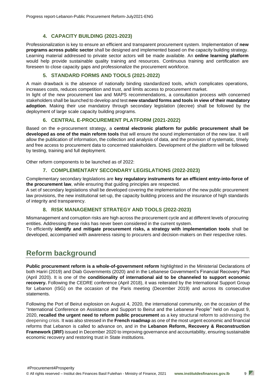#### **4. CAPACITY BUILDING (2021-2023)**

<span id="page-8-0"></span>Professionalization is key to ensure an efficient and transparent procurement system. Implementation of **new programs across public sector** shall be designed and implemented based on the capacity building strategy. Learning material addressed to private sector actors will be made available. An **online learning platform** would help provide sustainable quality training and resources. Continuous training and certification are foreseen to close capacity gaps and professionalize the procurement workforce.

#### **5. STANDARD FORMS AND TOOLS (2021-2022)**

<span id="page-8-1"></span>A main drawback is the absence of nationally binding standardized tools, which complicates operations, increases costs, reduces competition and trust, and limits access to procurement market.

In light of the new procurement law and MAPS recommendations, a consultation process with concerned stakeholders shall be launched to develop and test **new standard forms and tools in view of their mandatory adoption**. Making their use mandatory through secondary legislation (decree) shall be followed by the deployment of large scale capacity building programs.

#### **6. CENTRAL E-PROCUREMENT PLATFORM (2021-2022)**

<span id="page-8-2"></span>Based on the e-procurement strategy, a **central electronic platform for public procurement shall be developed as one of the main reform tools** that will ensure the sound implementation of the new law. It will allow the publication of information, the collection and analysis of data, and the provision of systematic, timely and free access to procurement data to concerned stakeholders. Development of the platform will be followed by testing, training and full deployment.

<span id="page-8-3"></span>Other reform components to be launched as of 2022:

#### **7. COMPLEMENTARY SECONDARY LEGISLATIONS (2022-2023)**

Complementary secondary legislations are **key regulatory instruments for an efficient entry-into-force of the procurement law**, while ensuring that guiding principles are respected.

A set of secondary legislations shall be developed covering the implementation of the new public procurement law provisions, the new institutional set-up, the capacity building process and the insurance of high standards of integrity and transparency.

#### **8. RISK MANAGEMENT STRATEGY AND TOOLS (2022-2023)**

<span id="page-8-4"></span>Mismanagement and corruption risks are high across the procurement cycle and at different levels of procuring entities. Addressing these risks has never been considered in the current system.

To efficiently **identify and mitigate procurement risks, a strategy with implementation tools** shall be developed, accompanied with awareness raising to procurers and decision-makers on their respective roles.

## <span id="page-8-5"></span>**Reform background**

**Public procurement reform is a whole-of-government reform** highlighted in the Ministerial Declarations of both Hariri (2019) and Diab Governments (2020) and in the Lebanese Government's Financial Recovery Plan (April 2020). It is one of the **conditionality of international aid to be channeled to support economic recovery.** Following the CEDRE conference (April 2018), it was reiterated by the International Support Group for Lebanon (ISG) on the occasion of the Paris meeting (December 2019) and across its consecutive statements.

Following the Port of Beirut explosion on August 4, 2020, the international community, on the occasion of the "International Conference on Assistance and Support to Beirut and the Lebanese People" held on August 9, 2020, **recalled the urgent need to reform public procurement** as a key structural reform to addressing the deepening crisis. It was also stressed in the **French roadmap** as one of the most urgent economic and financial reforms that Lebanon is called to advance on, and in the **Lebanon Reform, Recovery & Reconstruction Framework (3RF)** issued in December 2020 to improving governance and accountability, ensuring sustainable economic recovery and restoring trust in State institutions.